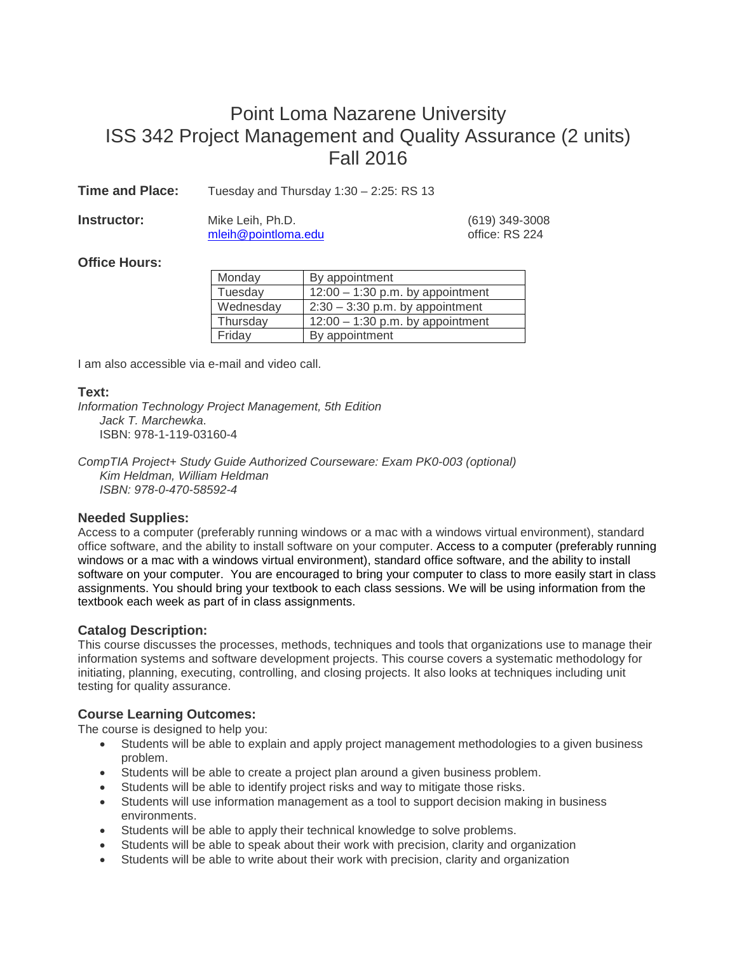## Point Loma Nazarene University ISS 342 Project Management and Quality Assurance (2 units) Fall 2016

**Time and Place:** Tuesday and Thursday 1:30 – 2:25: RS 13

| Instructor: | Mike Leih, Ph.D.    | (619) 349-3008 |                |
|-------------|---------------------|----------------|----------------|
|             | mleih@pointloma.edu |                | office: RS 224 |

# office: RS 224

## **Office Hours:**

| Monday    | By appointment                     |
|-----------|------------------------------------|
| Tuesday   | $12:00 - 1:30$ p.m. by appointment |
| Wednesday | $2:30 - 3:30$ p.m. by appointment  |
| Thursday  | $12:00 - 1:30$ p.m. by appointment |
| Friday    | By appointment                     |

I am also accessible via e-mail and video call.

## **Text:**

*Information Technology Project Management, 5th Edition Jack T. Marchewka*. ISBN: 978-1-119-03160-4

*CompTIA Project+ Study Guide Authorized Courseware: Exam PK0-003 (optional) Kim Heldman, William Heldman ISBN: 978-0-470-58592-4*

## **Needed Supplies:**

Access to a computer (preferably running windows or a mac with a windows virtual environment), standard office software, and the ability to install software on your computer. Access to a computer (preferably running windows or a mac with a windows virtual environment), standard office software, and the ability to install software on your computer. You are encouraged to bring your computer to class to more easily start in class assignments. You should bring your textbook to each class sessions. We will be using information from the textbook each week as part of in class assignments.

## **Catalog Description:**

This course discusses the processes, methods, techniques and tools that organizations use to manage their information systems and software development projects. This course covers a systematic methodology for initiating, planning, executing, controlling, and closing projects. It also looks at techniques including unit testing for quality assurance.

## **Course Learning Outcomes:**

The course is designed to help you:

- Students will be able to explain and apply project management methodologies to a given business problem.
- Students will be able to create a project plan around a given business problem.
- Students will be able to identify project risks and way to mitigate those risks.
- Students will use information management as a tool to support decision making in business environments.
- Students will be able to apply their technical knowledge to solve problems.
- Students will be able to speak about their work with precision, clarity and organization
- Students will be able to write about their work with precision, clarity and organization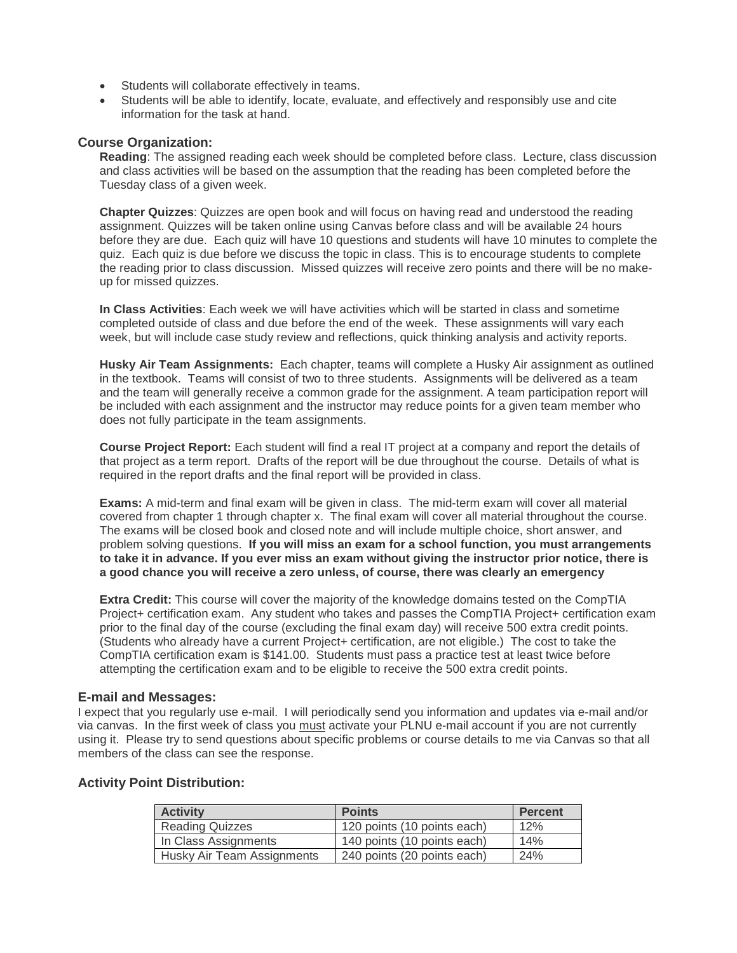- Students will collaborate effectively in teams.
- Students will be able to identify, locate, evaluate, and effectively and responsibly use and cite information for the task at hand.

#### **Course Organization:**

**Reading**: The assigned reading each week should be completed before class. Lecture, class discussion and class activities will be based on the assumption that the reading has been completed before the Tuesday class of a given week.

**Chapter Quizzes**: Quizzes are open book and will focus on having read and understood the reading assignment. Quizzes will be taken online using Canvas before class and will be available 24 hours before they are due. Each quiz will have 10 questions and students will have 10 minutes to complete the quiz. Each quiz is due before we discuss the topic in class. This is to encourage students to complete the reading prior to class discussion. Missed quizzes will receive zero points and there will be no makeup for missed quizzes.

**In Class Activities**: Each week we will have activities which will be started in class and sometime completed outside of class and due before the end of the week. These assignments will vary each week, but will include case study review and reflections, quick thinking analysis and activity reports.

**Husky Air Team Assignments:** Each chapter, teams will complete a Husky Air assignment as outlined in the textbook. Teams will consist of two to three students. Assignments will be delivered as a team and the team will generally receive a common grade for the assignment. A team participation report will be included with each assignment and the instructor may reduce points for a given team member who does not fully participate in the team assignments.

**Course Project Report:** Each student will find a real IT project at a company and report the details of that project as a term report. Drafts of the report will be due throughout the course. Details of what is required in the report drafts and the final report will be provided in class.

**Exams:** A mid-term and final exam will be given in class. The mid-term exam will cover all material covered from chapter 1 through chapter x. The final exam will cover all material throughout the course. The exams will be closed book and closed note and will include multiple choice, short answer, and problem solving questions. **If you will miss an exam for a school function, you must arrangements to take it in advance. If you ever miss an exam without giving the instructor prior notice, there is a good chance you will receive a zero unless, of course, there was clearly an emergency**

**Extra Credit:** This course will cover the majority of the knowledge domains tested on the CompTIA Project+ certification exam. Any student who takes and passes the CompTIA Project+ certification exam prior to the final day of the course (excluding the final exam day) will receive 500 extra credit points. (Students who already have a current Project+ certification, are not eligible.) The cost to take the CompTIA certification exam is \$141.00. Students must pass a practice test at least twice before attempting the certification exam and to be eligible to receive the 500 extra credit points.

#### **E-mail and Messages:**

I expect that you regularly use e-mail. I will periodically send you information and updates via e-mail and/or via canvas. In the first week of class you must activate your PLNU e-mail account if you are not currently using it. Please try to send questions about specific problems or course details to me via Canvas so that all members of the class can see the response.

#### **Activity Point Distribution:**

| <b>Activity</b>            | <b>Points</b>               | <b>Percent</b> |
|----------------------------|-----------------------------|----------------|
| <b>Reading Quizzes</b>     | 120 points (10 points each) | 12%            |
| In Class Assignments       | 140 points (10 points each) | 14%            |
| Husky Air Team Assignments | 240 points (20 points each) | 24%            |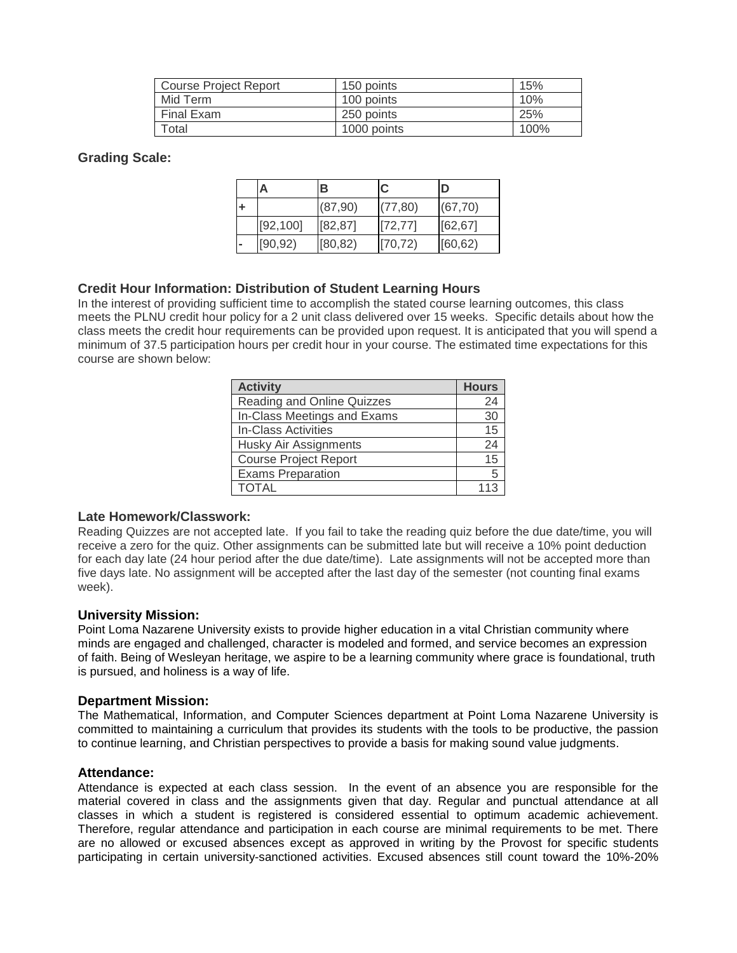| Course Project Report | 150 points  | 15%  |
|-----------------------|-------------|------|
| Mid Term              | 100 points  | 10%  |
| Final Exam            | 250 points  | 25%  |
| Total                 | 1000 points | 100% |

#### **Grading Scale:**

|  |           | в        |          | D        |
|--|-----------|----------|----------|----------|
|  |           | (87,90)  | (77, 80) | (67, 70) |
|  | [92, 100] | [82, 87] | [72, 77] | [62, 67] |
|  | [90, 92)  | [80, 82) | [70, 72] | [60, 62] |

#### **Credit Hour Information: Distribution of Student Learning Hours**

In the interest of providing sufficient time to accomplish the stated course learning outcomes, this class meets the PLNU credit hour policy for a 2 unit class delivered over 15 weeks. Specific details about how the class meets the credit hour requirements can be provided upon request. It is anticipated that you will spend a minimum of 37.5 participation hours per credit hour in your course. The estimated time expectations for this course are shown below:

| <b>Activity</b>              | <b>Hours</b> |
|------------------------------|--------------|
| Reading and Online Quizzes   | 24           |
| In-Class Meetings and Exams  | 30           |
| In-Class Activities          | 15           |
| Husky Air Assignments        | 24           |
| <b>Course Project Report</b> | 15           |
| <b>Exams Preparation</b>     | 5            |
| TOTAL                        |              |

#### **Late Homework/Classwork:**

Reading Quizzes are not accepted late. If you fail to take the reading quiz before the due date/time, you will receive a zero for the quiz. Other assignments can be submitted late but will receive a 10% point deduction for each day late (24 hour period after the due date/time). Late assignments will not be accepted more than five days late. No assignment will be accepted after the last day of the semester (not counting final exams week).

#### **University Mission:**

Point Loma Nazarene University exists to provide higher education in a vital Christian community where minds are engaged and challenged, character is modeled and formed, and service becomes an expression of faith. Being of Wesleyan heritage, we aspire to be a learning community where grace is foundational, truth is pursued, and holiness is a way of life.

#### **Department Mission:**

The Mathematical, Information, and Computer Sciences department at Point Loma Nazarene University is committed to maintaining a curriculum that provides its students with the tools to be productive, the passion to continue learning, and Christian perspectives to provide a basis for making sound value judgments.

#### **Attendance:**

Attendance is expected at each class session. In the event of an absence you are responsible for the material covered in class and the assignments given that day. Regular and punctual attendance at all classes in which a student is registered is considered essential to optimum academic achievement. Therefore, regular attendance and participation in each course are minimal requirements to be met. There are no allowed or excused absences except as approved in writing by the Provost for specific students participating in certain university-sanctioned activities. Excused absences still count toward the 10%-20%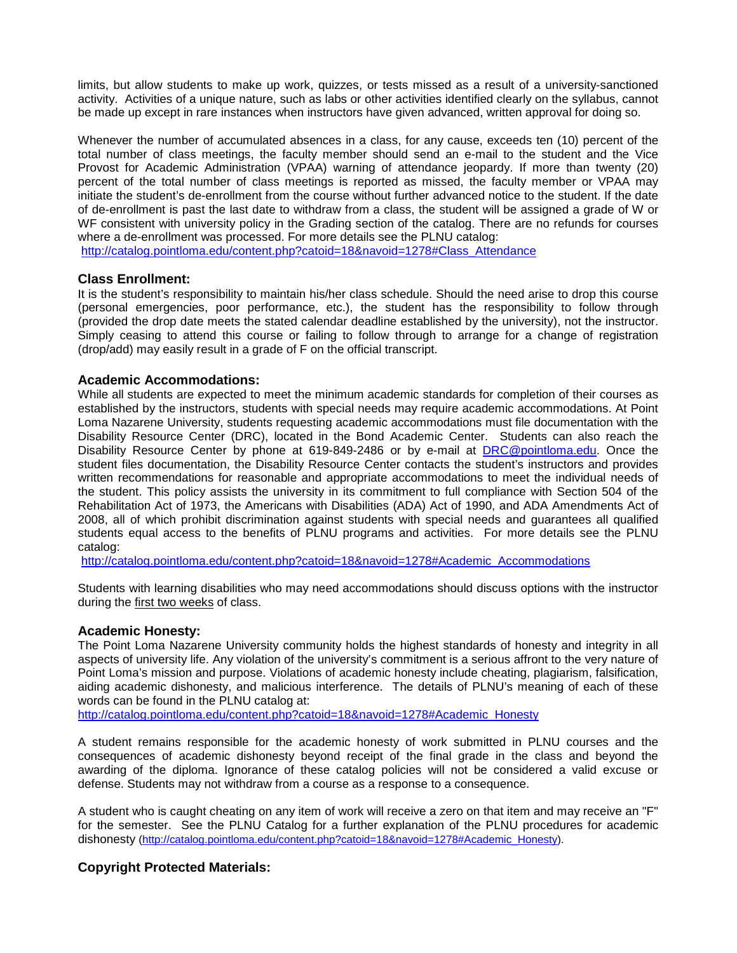limits, but allow students to make up work, quizzes, or tests missed as a result of a university-sanctioned activity. Activities of a unique nature, such as labs or other activities identified clearly on the syllabus, cannot be made up except in rare instances when instructors have given advanced, written approval for doing so.

Whenever the number of accumulated absences in a class, for any cause, exceeds ten (10) percent of the total number of class meetings, the faculty member should send an e-mail to the student and the Vice Provost for Academic Administration (VPAA) warning of attendance jeopardy. If more than twenty (20) percent of the total number of class meetings is reported as missed, the faculty member or VPAA may initiate the student's de-enrollment from the course without further advanced notice to the student. If the date of de-enrollment is past the last date to withdraw from a class, the student will be assigned a grade of W or WF consistent with university policy in the Grading section of the catalog. There are no refunds for courses where a de-enrollment was processed. For more details see the PLNU catalog:

[http://catalog.pointloma.edu/content.php?catoid=18&navoid=1278#Class\\_Attendance](http://catalog.pointloma.edu/content.php?catoid=18&navoid=1278#Class_Attendance)

#### **Class Enrollment:**

It is the student's responsibility to maintain his/her class schedule. Should the need arise to drop this course (personal emergencies, poor performance, etc.), the student has the responsibility to follow through (provided the drop date meets the stated calendar deadline established by the university), not the instructor. Simply ceasing to attend this course or failing to follow through to arrange for a change of registration (drop/add) may easily result in a grade of F on the official transcript.

#### **Academic Accommodations:**

While all students are expected to meet the minimum academic standards for completion of their courses as established by the instructors, students with special needs may require academic accommodations. At Point Loma Nazarene University, students requesting academic accommodations must file documentation with the Disability Resource Center (DRC), located in the Bond Academic Center. Students can also reach the Disability Resource Center by phone at 619-849-2486 or by e-mail at [DRC@pointloma.edu.](mailto:DRC@pointloma.edu) Once the student files documentation, the Disability Resource Center contacts the student's instructors and provides written recommendations for reasonable and appropriate accommodations to meet the individual needs of the student. This policy assists the university in its commitment to full compliance with Section 504 of the Rehabilitation Act of 1973, the Americans with Disabilities (ADA) Act of 1990, and ADA Amendments Act of 2008, all of which prohibit discrimination against students with special needs and guarantees all qualified students equal access to the benefits of PLNU programs and activities. For more details see the PLNU catalog:

[http://catalog.pointloma.edu/content.php?catoid=18&navoid=1278#Academic\\_Accommodations](http://catalog.pointloma.edu/content.php?catoid=18&navoid=1278#Academic_Accommodations) 

Students with learning disabilities who may need accommodations should discuss options with the instructor during the first two weeks of class.

#### **Academic Honesty:**

The Point Loma Nazarene University community holds the highest standards of honesty and integrity in all aspects of university life. Any violation of the university's commitment is a serious affront to the very nature of Point Loma's mission and purpose. Violations of academic honesty include cheating, plagiarism, falsification, aiding academic dishonesty, and malicious interference. The details of PLNU's meaning of each of these words can be found in the PLNU catalog at:

[http://catalog.pointloma.edu/content.php?catoid=18&navoid=1278#Academic\\_Honesty](http://catalog.pointloma.edu/content.php?catoid=18&navoid=1278#Academic_Honesty)

A student remains responsible for the academic honesty of work submitted in PLNU courses and the consequences of academic dishonesty beyond receipt of the final grade in the class and beyond the awarding of the diploma. Ignorance of these catalog policies will not be considered a valid excuse or defense. Students may not withdraw from a course as a response to a consequence.

A student who is caught cheating on any item of work will receive a zero on that item and may receive an "F" for the semester. See the PLNU Catalog for a further explanation of the PLNU procedures for academic dishonesty [\(http://catalog.pointloma.edu/content.php?catoid=18&navoid=1278#Academic\\_Honesty\)](http://catalog.pointloma.edu/content.php?catoid=18&navoid=1278#Academic_Honesty).

### **Copyright Protected Materials:**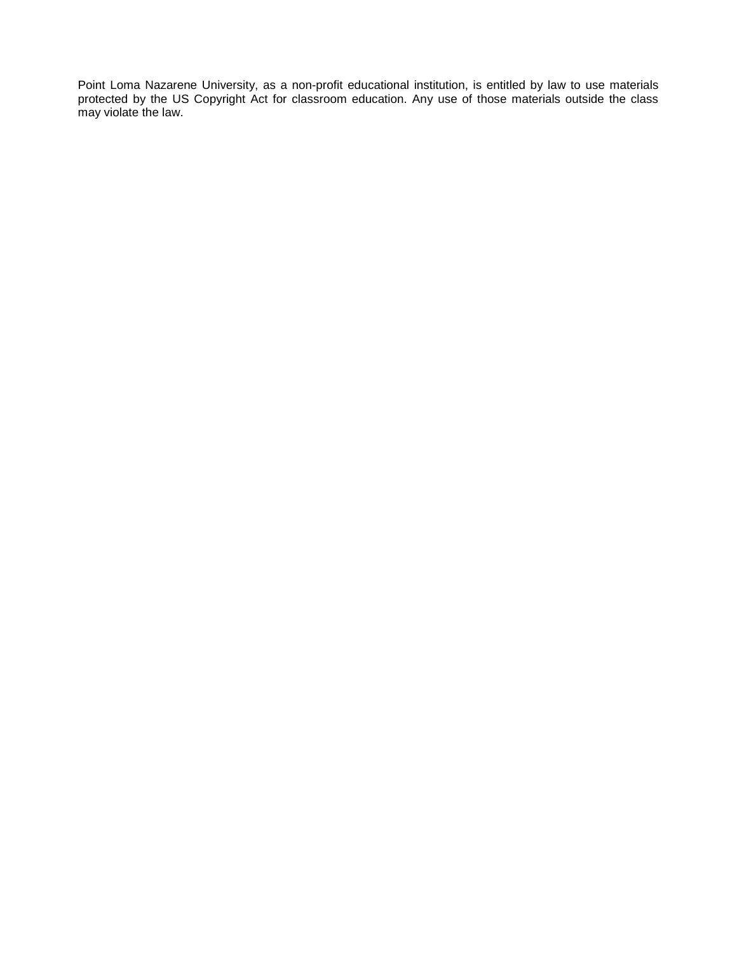Point Loma Nazarene University, as a non-profit educational institution, is entitled by law to use materials protected by the US Copyright Act for classroom education. Any use of those materials outside the class may violate the law.